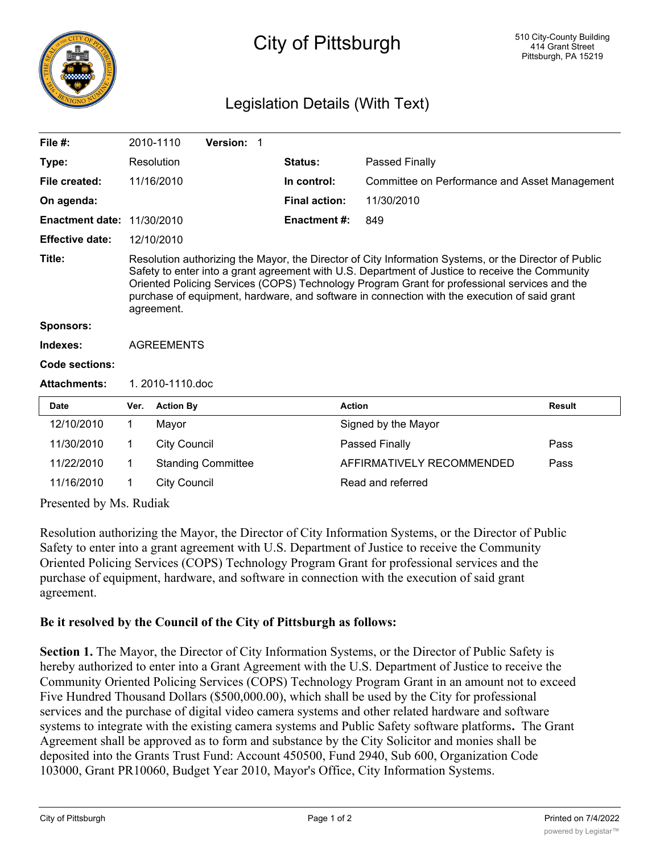

## City of Pittsburgh

## Legislation Details (With Text)

| File $#$ :                                               |                                                                                                                                                                                                                                                                                                                                                                                                                        | 2010-1110           | Version: 1                |  |                      |                                               |               |
|----------------------------------------------------------|------------------------------------------------------------------------------------------------------------------------------------------------------------------------------------------------------------------------------------------------------------------------------------------------------------------------------------------------------------------------------------------------------------------------|---------------------|---------------------------|--|----------------------|-----------------------------------------------|---------------|
| Type:                                                    |                                                                                                                                                                                                                                                                                                                                                                                                                        | Resolution          |                           |  | Status:              | Passed Finally                                |               |
| File created:                                            |                                                                                                                                                                                                                                                                                                                                                                                                                        | 11/16/2010          |                           |  | In control:          | Committee on Performance and Asset Management |               |
| On agenda:                                               |                                                                                                                                                                                                                                                                                                                                                                                                                        |                     |                           |  | <b>Final action:</b> | 11/30/2010                                    |               |
| <b>Enactment date: 11/30/2010</b>                        |                                                                                                                                                                                                                                                                                                                                                                                                                        |                     |                           |  | <b>Enactment #:</b>  | 849                                           |               |
| <b>Effective date:</b>                                   |                                                                                                                                                                                                                                                                                                                                                                                                                        | 12/10/2010          |                           |  |                      |                                               |               |
| Title:                                                   | Resolution authorizing the Mayor, the Director of City Information Systems, or the Director of Public<br>Safety to enter into a grant agreement with U.S. Department of Justice to receive the Community<br>Oriented Policing Services (COPS) Technology Program Grant for professional services and the<br>purchase of equipment, hardware, and software in connection with the execution of said grant<br>agreement. |                     |                           |  |                      |                                               |               |
| <b>Sponsors:</b>                                         |                                                                                                                                                                                                                                                                                                                                                                                                                        |                     |                           |  |                      |                                               |               |
| Indexes:                                                 | <b>AGREEMENTS</b>                                                                                                                                                                                                                                                                                                                                                                                                      |                     |                           |  |                      |                                               |               |
| <b>Code sections:</b>                                    |                                                                                                                                                                                                                                                                                                                                                                                                                        |                     |                           |  |                      |                                               |               |
| <b>Attachments:</b>                                      | 1. 2010-1110.doc                                                                                                                                                                                                                                                                                                                                                                                                       |                     |                           |  |                      |                                               |               |
| <b>Date</b>                                              | Ver.                                                                                                                                                                                                                                                                                                                                                                                                                   | <b>Action By</b>    |                           |  |                      | <b>Action</b>                                 | <b>Result</b> |
| 12/10/2010                                               | 1                                                                                                                                                                                                                                                                                                                                                                                                                      | Mayor               |                           |  |                      | Signed by the Mayor                           |               |
| 11/30/2010                                               | 1                                                                                                                                                                                                                                                                                                                                                                                                                      | <b>City Council</b> |                           |  |                      | Passed Finally                                | Pass          |
| 11/22/2010                                               | 1                                                                                                                                                                                                                                                                                                                                                                                                                      |                     | <b>Standing Committee</b> |  |                      | AFFIRMATIVELY RECOMMENDED                     | Pass          |
| 11/16/2010                                               | 1                                                                                                                                                                                                                                                                                                                                                                                                                      | <b>City Council</b> |                           |  |                      | Read and referred                             |               |
| $D_{\text{reconf}}$ by $M_{\text{e}}$ $D_{\text{udish}}$ |                                                                                                                                                                                                                                                                                                                                                                                                                        |                     |                           |  |                      |                                               |               |

Presented by Ms. Rudiak

Resolution authorizing the Mayor, the Director of City Information Systems, or the Director of Public Safety to enter into a grant agreement with U.S. Department of Justice to receive the Community Oriented Policing Services (COPS) Technology Program Grant for professional services and the purchase of equipment, hardware, and software in connection with the execution of said grant agreement.

## **Be it resolved by the Council of the City of Pittsburgh as follows:**

**Section 1.** The Mayor, the Director of City Information Systems, or the Director of Public Safety is hereby authorized to enter into a Grant Agreement with the U.S. Department of Justice to receive the Community Oriented Policing Services (COPS) Technology Program Grant in an amount not to exceed Five Hundred Thousand Dollars (\$500,000.00), which shall be used by the City for professional services and the purchase of digital video camera systems and other related hardware and software systems to integrate with the existing camera systems and Public Safety software platforms**.** The Grant Agreement shall be approved as to form and substance by the City Solicitor and monies shall be deposited into the Grants Trust Fund: Account 450500, Fund 2940, Sub 600, Organization Code 103000, Grant PR10060, Budget Year 2010, Mayor's Office, City Information Systems.